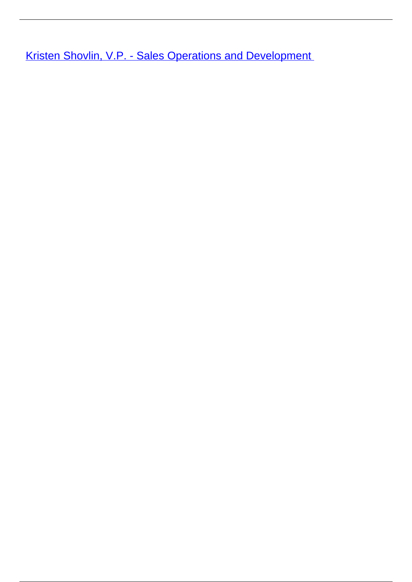**[Kristen Shovlin, V.P. - Sales Operations and Development](/leader-bio-kristen-shovlin-vp-sales-operations-and-development)**